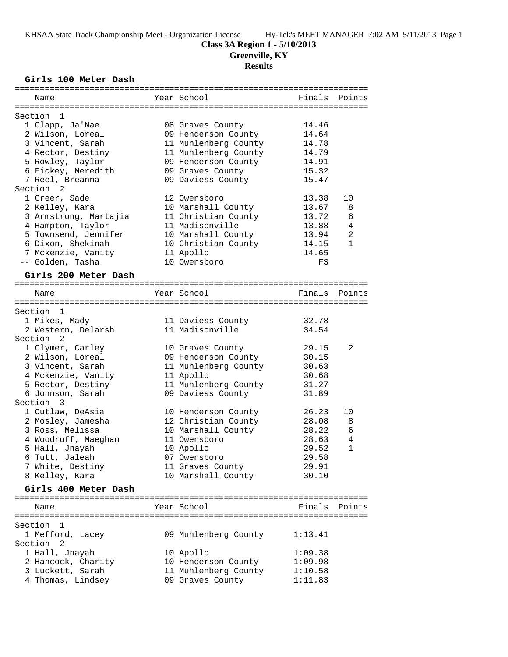#### **Class 3A Region 1 - 5/10/2013**

**Greenville, KY**

# **Results**

## **Girls 100 Meter Dash**

| Name                                    | Year School                             |         | Finals Points |
|-----------------------------------------|-----------------------------------------|---------|---------------|
| Section 1                               |                                         |         |               |
|                                         |                                         | 14.46   |               |
| 1 Clapp, Ja'Nae<br>2 Wilson, Loreal     | 08 Graves County<br>09 Henderson County | 14.64   |               |
| 3 Vincent, Sarah                        |                                         | 14.78   |               |
|                                         | 11 Muhlenberg County                    | 14.79   |               |
| 4 Rector, Destiny                       | 11 Muhlenberg County                    |         |               |
| 5 Rowley, Taylor                        | 09 Henderson County                     | 14.91   |               |
| 6 Fickey, Meredith                      | 09 Graves County                        | 15.32   |               |
| 7 Reel, Breanna<br>Section <sub>2</sub> | 09 Daviess County                       | 15.47   |               |
| 1 Greer, Sade                           |                                         |         |               |
|                                         | 12 Owensboro                            | 13.38   | 10            |
| 2 Kelley, Kara                          | 10 Marshall County                      | 13.67   | 8             |
| 3 Armstrong, Martajia                   | 11 Christian County                     | 13.72   | 6             |
| 4 Hampton, Taylor                       | 11 Madisonville                         | 13.88   | 4             |
| 5 Townsend, Jennifer                    | 10 Marshall County                      | 13.94   | 2             |
| 6 Dixon, Shekinah                       | 10 Christian County                     | 14.15   | $\mathbf{1}$  |
| 7 Mckenzie, Vanity                      | 11 Apollo                               | 14.65   |               |
| -- Golden, Tasha                        | 10 Owensboro                            | FS      |               |
| Girls 200 Meter Dash                    |                                         |         |               |
|                                         |                                         |         |               |
| Name                                    | Year School                             |         | Finals Points |
| Section 1                               |                                         |         |               |
| 1 Mikes, Mady                           | 11 Daviess County                       | 32.78   |               |
| 2 Western, Delarsh                      | 11 Madisonville                         | 34.54   |               |
| Section <sub>2</sub>                    |                                         |         |               |
| 1 Clymer, Carley                        | 10 Graves County                        | 29.15   | 2             |
| 2 Wilson, Loreal                        | 09 Henderson County                     | 30.15   |               |
|                                         |                                         | 30.63   |               |
| 3 Vincent, Sarah                        | 11 Muhlenberg County                    |         |               |
| 4 Mckenzie, Vanity                      | 11 Apollo                               | 30.68   |               |
| 5 Rector, Destiny                       | 11 Muhlenberg County                    | 31.27   |               |
| 6 Johnson, Sarah                        | 09 Daviess County                       | 31.89   |               |
| Section 3                               |                                         |         |               |
| 1 Outlaw, DeAsia                        | 10 Henderson County                     | 26.23   | 10            |
| 2 Mosley, Jamesha                       | 12 Christian County                     | 28.08   | 8             |
| 3 Ross, Melissa                         | 10 Marshall County                      | 28.22   | 6             |
| 4 Woodruff, Maeghan                     | 11 Owensboro                            | 28.63   | 4             |
| 5 Hall, Jnayah                          | 10 Apollo                               | 29.52   | $\mathbf{1}$  |
| 6 Tutt, Jaleah                          | 07 Owensboro                            | 29.58   |               |
| 7 White, Destiny                        | 11 Graves County                        | 29.91   |               |
| 8 Kelley, Kara                          | 10 Marshall County                      | 30.10   |               |
| Girls 400 Meter Dash                    |                                         |         |               |
|                                         |                                         |         |               |
| Name                                    | Year School                             |         | Finals Points |
|                                         |                                         |         |               |
| Section 1                               |                                         |         |               |
| 1 Mefford, Lacey<br>Section 2           | 09 Muhlenberg County                    | 1:13.41 |               |
| 1 Hall, Jnayah                          | 10 Apollo                               | 1:09.38 |               |
| 2 Hancock, Charity                      | 10 Henderson County                     | 1:09.98 |               |
| 3 Luckett, Sarah                        | 11 Muhlenberg County                    | 1:10.58 |               |
| 4 Thomas, Lindsey                       | 09 Graves County                        | 1:11.83 |               |
|                                         |                                         |         |               |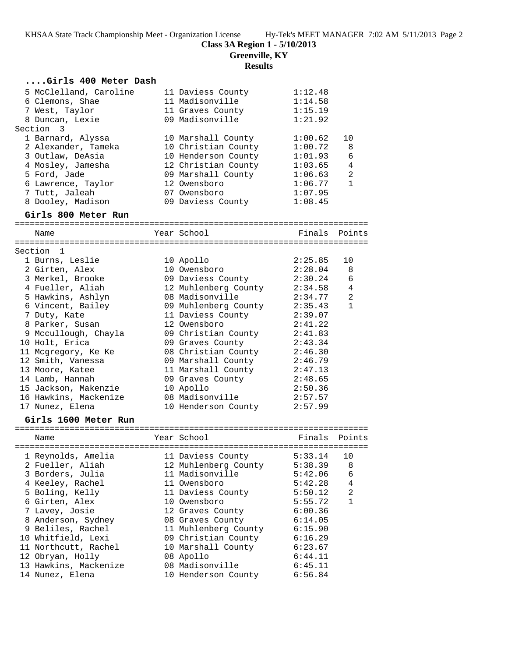**Class 3A Region 1 - 5/10/2013**

**Greenville, KY**

# **Results**

| Girls 400 Meter Dash                     |                                                              |                    |                |
|------------------------------------------|--------------------------------------------------------------|--------------------|----------------|
| 5 McClelland, Caroline                   | 11 Daviess County                                            | 1:12.48            |                |
| 6 Clemons, Shae                          | 11 Madisonville                                              | 1:14.58            |                |
| 7 West, Taylor                           | 11 Graves County                                             | 1:15.19            |                |
| 8 Duncan, Lexie                          | 09 Madisonville                                              | 1:21.92            |                |
| Section 3                                |                                                              |                    |                |
| 1 Barnard, Alyssa                        | 10 Marshall County                                           | 1:00.62            | 10             |
| 2 Alexander, Tameka                      | 10 Christian County                                          | 1:00.72            | 8              |
| 3 Outlaw, DeAsia                         | 10 Henderson County                                          | 1:01.93            | 6              |
| 4 Mosley, Jamesha                        | 12 Christian County                                          | 1:03.65            | 4              |
| 5 Ford, Jade                             | 09 Marshall County                                           | 1:06.63            | 2              |
| 6 Lawrence, Taylor                       | 12 Owensboro                                                 | 1:06.77            | $\mathbf{1}$   |
| 7 Tutt, Jaleah                           | 07 Owensboro                                                 | 1:07.95            |                |
| 8 Dooley, Madison                        | 09 Daviess County                                            | 1:08.45            |                |
| Girls 800 Meter Run                      |                                                              |                    |                |
| Name                                     | Year School                                                  | Finals Points      |                |
|                                          |                                                              |                    |                |
| Section 1                                |                                                              |                    |                |
| 1 Burns, Leslie                          | 10 Apollo                                                    | 2:25.85            | 10             |
| 2 Girten, Alex                           | 10 Owensboro                                                 | 2:28.04            | 8              |
| 3 Merkel, Brooke                         | 09 Daviess County                                            | 2:30.24            | 6              |
| 4 Fueller, Aliah                         | 12 Muhlenberg County                                         | 2:34.58 4          |                |
| 5 Hawkins, Ashlyn                        | 08 Madisonville                                              | 2:34.77            | 2              |
| 6 Vincent, Bailey                        | 09 Muhlenberg County                                         | 2:35.43            | $\mathbf{1}$   |
| 7 Duty, Kate                             | 11 Daviess County                                            | 2:39.07            |                |
| 8 Parker, Susan                          | 12 Owensboro                                                 | 2:41.22            |                |
| 9 Mccullough, Chayla                     | 09 Christian County                                          | 2:41.83            |                |
| 10 Holt, Erica                           | 09 Graves County                                             | 2:43.34            |                |
| 11 Mcgregory, Ke Ke                      | 08 Christian County                                          | 2:46.30            |                |
| 12 Smith, Vanessa                        | 09 Marshall County<br>11 Marshall County<br>09 Graves County | 2:46.79            |                |
| 13 Moore, Katee                          |                                                              | 2:47.13            |                |
| 14 Lamb, Hannah                          |                                                              | 2:48.65            |                |
| 15 Jackson, Makenzie                     | 10 Apollo                                                    | 2:50.36            |                |
| 16 Hawkins, Mackenize<br>17 Nunez, Elena | 08 Madisonville<br>10 Henderson County                       | 2:57.57<br>2:57.99 |                |
|                                          |                                                              |                    |                |
| Girls 1600 Meter Run                     |                                                              |                    |                |
| Name                                     | Year School                                                  | Finals             | Points         |
| 1 Reynolds, Amelia                       | 11 Daviess County                                            | 5:33.14            | 10             |
| 2 Fueller, Aliah                         | 12 Muhlenberg County                                         | 5:38.39            | 8              |
| 3 Borders, Julia                         | 11 Madisonville                                              | 5:42.06            | 6              |
| 4 Keeley, Rachel                         | 11 Owensboro                                                 | 5:42.28            | 4              |
| 5 Boling, Kelly                          | 11 Daviess County                                            | 5:50.12            | $\overline{2}$ |
| 6 Girten, Alex                           | 10 Owensboro                                                 | 5:55.72            | $\mathbf{1}$   |
| 7 Lavey, Josie                           | 12 Graves County                                             | 6:00.36            |                |
| 8 Anderson, Sydney                       | 08 Graves County                                             | 6:14.05            |                |
| 9 Beliles, Rachel                        | 11 Muhlenberg County                                         | 6:15.90            |                |
| 10 Whitfield, Lexi                       | 09 Christian County                                          | 6:16.29            |                |
| 11 Northcutt, Rachel                     | 10 Marshall County                                           | 6:23.67            |                |
| 12 Obryan, Holly                         | 08 Apollo                                                    | 6:44.11            |                |
| 13 Hawkins, Mackenize                    | 08 Madisonville                                              | 6:45.11            |                |
| 14 Nunez, Elena                          | 10 Henderson County                                          | 6:56.84            |                |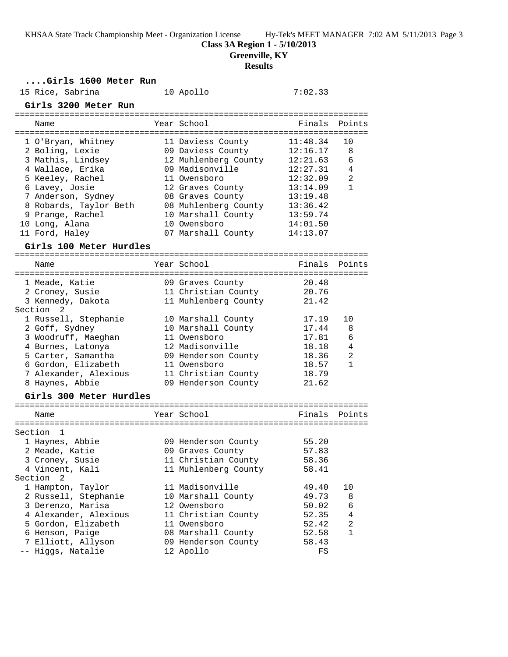**Class 3A Region 1 - 5/10/2013**

**Greenville, KY**

# **Results**

## **....Girls 1600 Meter Run**

| 15 Rice, Sabrina        | 10 Apollo            | 7:02.33  |                |
|-------------------------|----------------------|----------|----------------|
| Girls 3200 Meter Run    |                      |          |                |
| Name                    | Year School          | Finals   | Points         |
| 1 O'Bryan, Whitney      | 11 Daviess County    | 11:48.34 | 10             |
| 2 Boling, Lexie         | 09 Daviess County    | 12:16.17 | 8              |
| 3 Mathis, Lindsey       | 12 Muhlenberg County | 12:21.63 | 6              |
| 4 Wallace, Erika        | 09 Madisonville      | 12:27.31 | 4              |
| 5 Keeley, Rachel        | 11 Owensboro         | 12:32.09 | 2              |
| 6 Lavey, Josie          | 12 Graves County     | 13:14.09 | $\mathbf{1}$   |
| 7 Anderson, Sydney      | 08 Graves County     | 13:19.48 |                |
| 8 Robards, Taylor Beth  | 08 Muhlenberg County | 13:36.42 |                |
| 9 Prange, Rachel        | 10 Marshall County   | 13:59.74 |                |
| 10 Long, Alana          | 10 Owensboro         | 14:01.50 |                |
| 11 Ford, Haley          | 07 Marshall County   | 14:13.07 |                |
| Girls 100 Meter Hurdles |                      |          |                |
|                         |                      |          |                |
| Name                    | Year School          |          | Finals Points  |
|                         |                      |          |                |
| 1 Meade, Katie          | 09 Graves County     | 20.48    |                |
| 2 Croney, Susie         | 11 Christian County  | 20.76    |                |
| 3 Kennedy, Dakota       | 11 Muhlenberg County | 21.42    |                |
| Section <sub>2</sub>    |                      |          |                |
| 1 Russell, Stephanie    | 10 Marshall County   | 17.19    | 10             |
| 2 Goff, Sydney          | 10 Marshall County   | 17.44    | 8              |
| 3 Woodruff, Maeghan     | 11 Owensboro         | 17.81    | 6              |
| 4 Burnes, Latonya       | 12 Madisonville      | 18.18    | $\overline{4}$ |
| 5 Carter, Samantha      | 09 Henderson County  | 18.36    | 2              |
| 6 Gordon, Elizabeth     | 11 Owensboro         | 18.57    | $\mathbf{1}$   |
| 7 Alexander, Alexious   | 11 Christian County  | 18.79    |                |
| 8 Haynes, Abbie         | 09 Henderson County  | 21.62    |                |
| Girls 300 Meter Hurdles |                      |          |                |
|                         |                      |          |                |
| Name                    | Year School          | Finals   | Points         |
| Section<br>1            |                      |          |                |
| 1 Haynes, Abbie         | 09 Henderson County  | 55.20    |                |
| 2 Meade, Katie          | 09 Graves County     | 57.83    |                |
| 3 Croney, Susie         | 11 Christian County  | 58.36    |                |
| 4 Vincent, Kali         | 11 Muhlenberg County | 58.41    |                |
| Section<br>2            |                      |          |                |
| 1 Hampton, Taylor       | 11 Madisonville      | 49.40    | 10             |
| 2 Russell, Stephanie    | 10 Marshall County   | 49.73    | 8              |
| 3 Derenzo, Marisa       | 12 Owensboro         | 50.02    | 6              |
| 4 Alexander, Alexious   | 11 Christian County  | 52.35    | 4              |
| 5 Gordon, Elizabeth     | 11 Owensboro         | 52.42    | 2              |
| 6 Henson, Paige         | 08 Marshall County   | 52.58    | $\mathbf{1}$   |
| 7 Elliott, Allyson      | 09 Henderson County  | 58.43    |                |
| -- Higgs, Natalie       | 12 Apollo            | FS       |                |
|                         |                      |          |                |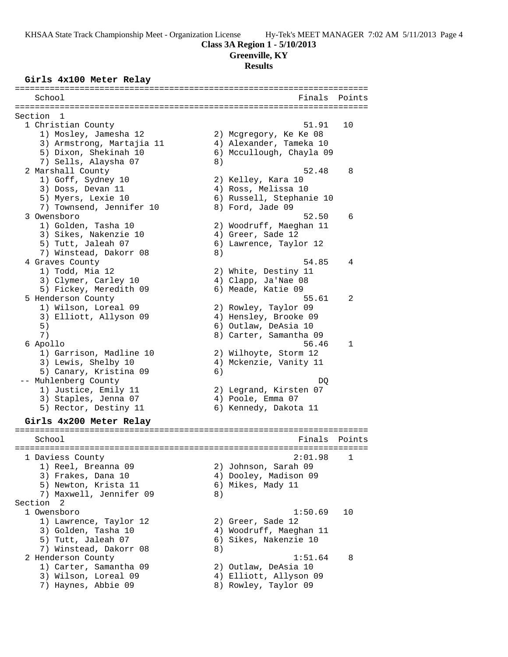#### **Class 3A Region 1 - 5/10/2013**

**Greenville, KY**

#### **Results**

#### **Girls 4x100 Meter Relay**

======================================================================= School **Finals Points** ======================================================================= Section 1<br>1 Christian County 1 Christian County 51.91 10 1) Mosley, Jamesha 12 2) Mcgregory, Ke Ke 08 3) Armstrong, Martajia 11 4) Alexander, Tameka 10 5) Dixon, Shekinah 10 6) Mccullough, Chayla 09 7) Sells, Alaysha 07 8) 2 Marshall County 52.48 8 1) Goff, Sydney 10 2) Kelley, Kara 10 3) Doss, Devan 11 (4) Ross, Melissa 10 5) Myers, Lexie 10 6) Russell, Stephanie 10 7) Townsend, Jennifer 10 8) Ford, Jade 09 3 Owensboro 52.50 6 1) Golden, Tasha 10 2) Woodruff, Maeghan 11 3) Sikes, Nakenzie 10  $\hskip1cm \hskip1cm 4$ ) Greer, Sade 12 5) Tutt, Jaleah 07 6) Lawrence, Taylor 12 7) Winstead, Dakorr 08 8) 4 Graves County 54.85 4 1) Todd, Mia 12 2) White, Destiny 11 3) Clymer, Carley 10 (4) Clapp, Ja'Nae 08 5) Fickey, Meredith 09 6) Meade, Katie 09 5 Henderson County 55.61 2 1) Wilson, Loreal 09 2) Rowley, Taylor 09 3) Elliott, Allyson 09 4) Hensley, Brooke 09 5) 6) Outlaw, DeAsia 10 7) 8) Carter, Samantha 09 6 Apollo 56.46 1 1) Garrison, Madline 10 2) Wilhoyte, Storm 12 3) Lewis, Shelby 10 4) Mckenzie, Vanity 11 5) Canary, Kristina 09 (6) -- Muhlenberg County DQ 1) Justice, Emily 11 2) Legrand, Kirsten 07 3) Staples, Jenna 07 4) Poole, Emma 07 5) Rector, Destiny 11 6) Kennedy, Dakota 11 **Girls 4x200 Meter Relay** ======================================================================= School **Finals Points** ======================================================================= 1 Daviess County 2:01.98 1 1) Reel, Breanna 09 2) Johnson, Sarah 09 3) Frakes, Dana 10 4) Dooley, Madison 09 5) Newton, Krista 11 (6) Mikes, Mady 11 7) Maxwell, Jennifer 09 (8) Section 2 1 Owensboro 1:50.69 10 1) Lawrence, Taylor 12 (2) Greer, Sade 12 3) Golden, Tasha 10 4) Woodruff, Maeghan 11 5) Tutt, Jaleah 07 6) Sikes, Nakenzie 10 7) Winstead, Dakorr 08 8) 2 Henderson County 1:51.64 8 1) Carter, Samantha 09 2) Outlaw, DeAsia 10 3) Wilson, Loreal 09 4) Elliott, Allyson 09 7) Haynes, Abbie 09 8) Rowley, Taylor 09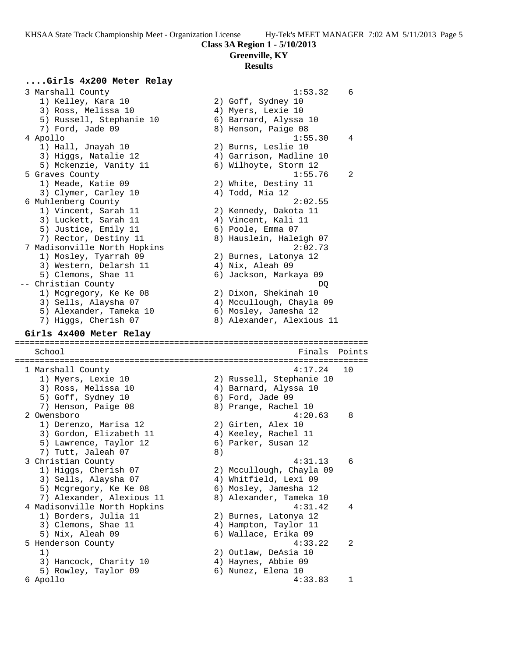**Class 3A Region 1 - 5/10/2013**

## **Greenville, KY**

## **Results**

## **....Girls 4x200 Meter Relay**

 3 Marshall County 1:53.32 6 1) Kelley, Kara 10 2) Goff, Sydney 10 3) Ross, Melissa 10 4) Myers, Lexie 10 5) Russell, Stephanie 10 6) Barnard, Alyssa 10 7) Ford, Jade 09 8) Henson, Paige 08 4 Apollo 1:55.30 4 1) Hall, Jnayah 10 2) Burns, Leslie 10 3) Higgs, Natalie 12 4) Garrison, Madline 10 5) Mckenzie, Vanity 11 6) Wilhoyte, Storm 12 5 Graves County 1:55.76 2 1) Meade, Katie 09 2) White, Destiny 11 3) Clymer, Carley 10 (4) Todd, Mia 12 6 Muhlenberg County 2:02.55 1) Vincent, Sarah 11 2) Kennedy, Dakota 11 3) Luckett, Sarah 11 (4) Vincent, Kali 11 5) Justice, Emily 11 6) Poole, Emma 07 7) Rector, Destiny 11 8) Hauslein, Haleigh 07 7 Madisonville North Hopkins 2:02.73 1) Mosley, Tyarrah 09 2) Burnes, Latonya 12 3) Western, Delarsh 11 (4) Nix, Aleah 09 5) Clemons, Shae 11 6) Jackson, Markaya 09 -- Christian County DQ 1) Mcgregory, Ke Ke 08 2) Dixon, Shekinah 10 3) Sells, Alaysha 07 4) Mccullough, Chayla 09 5) Alexander, Tameka 10 6) Mosley, Jamesha 12 7) Higgs, Cherish 07 8) Alexander, Alexious 11 **Girls 4x400 Meter Relay** ======================================================================= School **Finals Points** ======================================================================= 1 Marshall County 4:17.24 10 1) Myers, Lexie 10 2) Russell, Stephanie 10 3) Ross, Melissa 10 4) Barnard, Alyssa 10 5) Goff, Sydney 10 6) Ford, Jade 09 7) Henson, Paige 08 8 8) Prange, Rachel 10 2 Owensboro 4:20.63 8 1) Derenzo, Marisa 12 and 2) Girten, Alex 10 3) Gordon, Elizabeth 11 (4) Keeley, Rachel 11 5) Lawrence, Taylor 12 6) Parker, Susan 12 7) Tutt, Jaleah 07 8) 3 Christian County 4:31.13 6 1) Higgs, Cherish 07 2) Mccullough, Chayla 09 3) Sells, Alaysha 07 4) Whitfield, Lexi 09 5) Mcgregory, Ke Ke 08 6) Mosley, Jamesha 12 7) Alexander, Alexious 11 8) Alexander, Tameka 10 4 Madisonville North Hopkins 4:31.42 4 1) Borders, Julia 11 2) Burnes, Latonya 12 3) Clemons, Shae 11 4) Hampton, Taylor 11 5) Nix, Aleah 09 6) Wallace, Erika 09 5 Henderson County 4:33.22 2 1) 2) Outlaw, DeAsia 10 3) Hancock, Charity 10 4) Haynes, Abbie 09 5) Rowley, Taylor 09 (6) Nunez, Elena 10 6 Apollo 4:33.83 1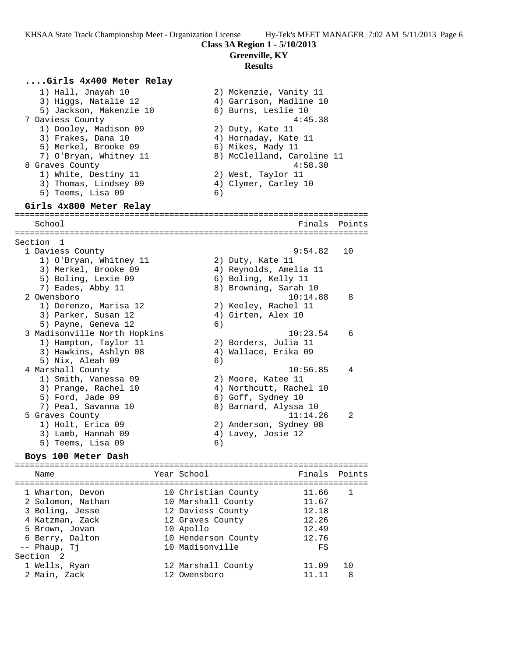#### **Class 3A Region 1 - 5/10/2013**

#### **Greenville, KY**

#### **Results**

## **....Girls 4x400 Meter Relay**

 1) Hall, Jnayah 10 2) Mckenzie, Vanity 11 3) Higgs, Natalie 12 4) Garrison, Madline 10 5) Jackson, Makenzie 10 6) Burns, Leslie 10 7 Daviess County 4:45.38 1) Dooley, Madison 09 2) Duty, Kate 11 3) Frakes, Dana 10  $\hskip1cm \hskip1cm 4$ ) Hornaday, Kate 11 5) Merkel, Brooke 09 (6) Mikes, Mady 11 7) O'Bryan, Whitney 11 8) McClelland, Caroline 11 8 Graves County 6 and 20 and 20 and 30 and 30 and 4:58.30 1) White, Destiny 11 2) West, Taylor 11 3) Thomas, Lindsey 09  $\hskip1cm 4)$  Clymer, Carley 10 5) Teems, Lisa 09 (6) **Girls 4x800 Meter Relay** ======================================================================= School **Finals** Points ======================================================================= Section 1<br>1 Daviess County 1 Daviess County 9:54.82 10 1) O'Bryan, Whitney 11  $\qquad \qquad$  2) Duty, Kate 11 3) Merkel, Brooke 09 4) Reynolds, Amelia 11 5) Boling, Lexie 09 6) Boling, Kelly 11 7) Eades, Abby 11 8) Browning, Sarah 10 2 Owensboro 10:14.88 8 1) Derenzo, Marisa 12 2) Keeley, Rachel 11 3) Parker, Susan 12 (4) Girten, Alex 10 5) Payne, Geneva 12 6) 3 Madisonville North Hopkins 10:23.54 6 1) Hampton, Taylor 11 2) Borders, Julia 11 3) Hawkins, Ashlyn 08 4) Wallace, Erika 09 5) Nix, Aleah 09 6) 4 Marshall County 10:56.85 4 1) Smith, Vanessa 09 2) Moore, Katee 11 3) Prange, Rachel 10 4) Northcutt, Rachel 10 5) Ford, Jade 09 6) Goff, Sydney 10 7) Peal, Savanna 10 8) Barnard, Alyssa 10 5 Graves County 11:14.26 2 1) Holt, Erica 09 2) Anderson, Sydney 08 3) Lamb, Hannah 09  $\hskip1cm 4$ ) Lavey, Josie 12 5) Teems, Lisa 09 6)

## **Boys 100 Meter Dash**

======================================================================= Name Year School Finals Points ======================================================================= 1 Wharton, Devon 10 Christian County 11.66 1 2 Solomon, Nathan 10 Marshall County 11.67 3 Boling, Jesse 12 Daviess County 12.18 4 Katzman, Zack 12 Graves County 12.26 5 Brown, Jovan 10 Apollo 12.49 6 Berry, Dalton 10 Henderson County 12.76 -- Phaup, Tj 10 Madisonville FS Section 2 1 Wells, Ryan 12 Marshall County 11.09 10 2 Main, Zack 12 Owensboro 11.11 8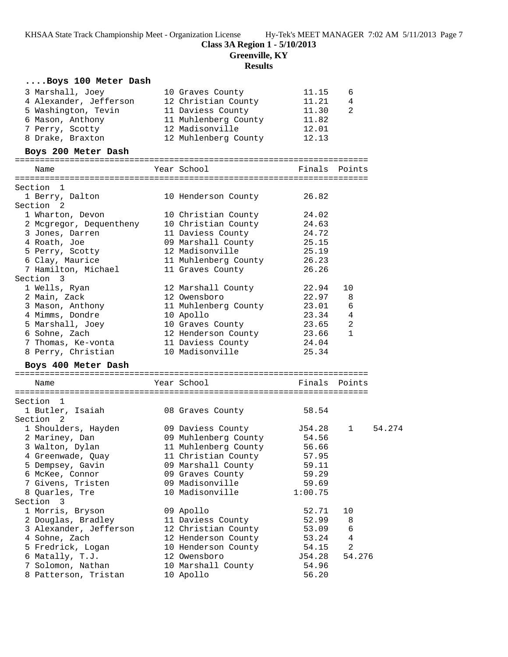**Class 3A Region 1 - 5/10/2013**

**Greenville, KY**

**Results**

| Boys 100 Meter Dash                                                                        |                                                             |                        |                        |        |
|--------------------------------------------------------------------------------------------|-------------------------------------------------------------|------------------------|------------------------|--------|
| 3 Marshall, Joey                                                                           | 10 Graves County                                            | 11.15                  | 6                      |        |
| 4 Alexander, Jefferson                                                                     | 12 Christian County                                         | 11.21<br>11.30         | $\overline{4}$         |        |
| 5 Washington, Tevin 11 Daviess County 11.30<br>6 Mason, Anthony 11 Muhlenberg County 11.82 | 11 Daviess County<br>11 Martin 1                            |                        | -2                     |        |
|                                                                                            |                                                             |                        |                        |        |
| 7 Perry, Scotty 12 Madisonville                                                            |                                                             | 12.01                  |                        |        |
| 8 Drake, Braxton 12 Muhlenberg County                                                      |                                                             | 12.13                  |                        |        |
| Boys 200 Meter Dash                                                                        |                                                             |                        |                        |        |
| Name                                                                                       | Year School <b>Sandware</b>                                 | Finals Points          |                        |        |
|                                                                                            |                                                             |                        |                        |        |
| Section 1                                                                                  |                                                             |                        |                        |        |
| 1 Berry, Dalton                                                                            | 10 Henderson County                                         | 26.82                  |                        |        |
| Section <sub>2</sub>                                                                       |                                                             |                        |                        |        |
| 1 Wharton, Devon                                                                           | 10 Christian County                                         | 24.02                  |                        |        |
| 2 Mcgregor, Dequentheny 10 Christian County 24.63                                          |                                                             |                        |                        |        |
| 3 Jones, Darren                                                                            | 11 Daviess County 24.72                                     |                        |                        |        |
| 4 Roath, Joe                                                                               | 09 Marshall County 25.15                                    |                        |                        |        |
| 5 Perry, Scotty                                                                            | 12 Madisonville<br>11 Muhlenberg County<br>11 Graves County | 25.19                  |                        |        |
| 6 Clay, Maurice<br>7 Hamilton, Michael                                                     |                                                             | 26.23                  |                        |        |
|                                                                                            |                                                             | 26.26                  |                        |        |
| Section 3                                                                                  |                                                             |                        |                        |        |
| 1 Wells, Ryan                                                                              | 12 Marshall County                                          | 22.94                  | 10                     |        |
| 2 Main, Zack                                                                               | 12 Owensboro                                                | 22.97                  | 8                      |        |
| 3 Mason, Anthony                                                                           | 11 Muhlenberg County                                        | $23.01$ 6              |                        |        |
|                                                                                            | 10 Apollo<br>10 Graves County                               | $23.34$ 4<br>$23.65$ 2 |                        |        |
| 4 Mimms, Dondre<br>5 Marshall, Joey<br>6 Sohne, Zach                                       |                                                             |                        |                        |        |
|                                                                                            | 12 Henderson County 23.66 1                                 |                        |                        |        |
| 7 Thomas, Ke-vonta 11 Daviess County 24.04                                                 | 10 Madisonville                                             | 25.34                  |                        |        |
| 8 Perry, Christian                                                                         |                                                             |                        |                        |        |
| Boys 400 Meter Dash                                                                        |                                                             |                        |                        |        |
| Name                                                                                       | Year School                                                 | Finals Points          |                        |        |
|                                                                                            |                                                             |                        |                        |        |
| Section 1<br>1 Butler, Isaiah 18 08 Graves County                                          |                                                             | 58.54                  |                        |        |
| Section 2                                                                                  |                                                             |                        |                        |        |
| 1 Shoulders, Hayden                                                                        | 09 Daviess County 554.28                                    |                        | $1 \quad \blacksquare$ | 54.274 |
| 2 Mariney, Dan                                                                             | 09 Muhlenberg County 54.56                                  |                        |                        |        |
| 3 Walton, Dylan                                                                            | 11 Muhlenberg County 56.66                                  |                        |                        |        |
| 4 Greenwade, Quay                                                                          | 11 Christian County                                         | 57.95                  |                        |        |
| 5 Dempsey, Gavin                                                                           | 09 Marshall County                                          | 59.11                  |                        |        |
| 6 McKee, Connor                                                                            | 09 Graves County                                            | 59.29                  |                        |        |
| 7 Givens, Tristen                                                                          | 09 Madisonville                                             | 59.69                  |                        |        |
| 8 Quarles, Tre                                                                             | 10 Madisonville                                             | 1:00.75                |                        |        |
| Section<br>3                                                                               |                                                             |                        |                        |        |
| 1 Morris, Bryson                                                                           | 09 Apollo                                                   | 52.71                  | 10                     |        |
| 2 Douglas, Bradley                                                                         | 11 Daviess County                                           | 52.99                  | 8                      |        |
| 3 Alexander, Jefferson                                                                     | 12 Christian County                                         | 53.09                  | 6                      |        |
| 4 Sohne, Zach                                                                              | 12 Henderson County                                         | 53.24                  | 4                      |        |
| 5 Fredrick, Logan                                                                          | 10 Henderson County                                         | 54.15                  | $\overline{a}$         |        |
| 6 Matally, T.J.                                                                            | 12 Owensboro                                                | J54.28                 | 54.276                 |        |
| 7 Solomon, Nathan                                                                          | 10 Marshall County                                          | 54.96                  |                        |        |
| 8 Patterson, Tristan                                                                       | 10 Apollo                                                   | 56.20                  |                        |        |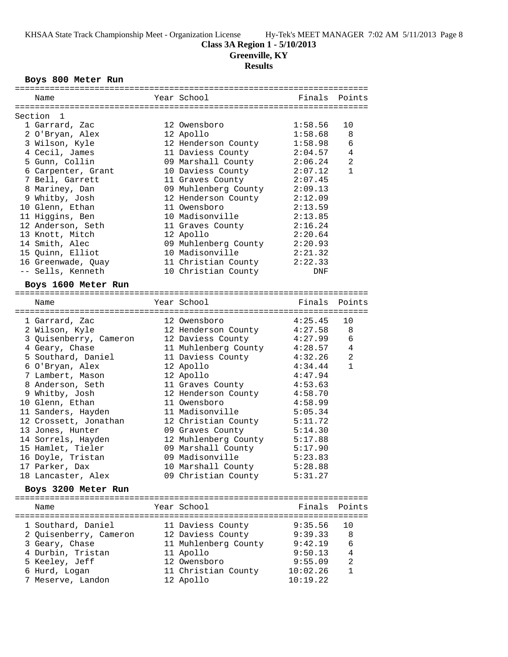**Class 3A Region 1 - 5/10/2013**

**Greenville, KY**

## **Results**

## **Boys 800 Meter Run**

| Name                   | Year School                  |         | Finals Points  |
|------------------------|------------------------------|---------|----------------|
|                        |                              |         |                |
| Section 1              |                              |         |                |
| 1 Garrard, Zac         | 12 Owensboro                 | 1:58.56 | 10             |
| 2 O'Bryan, Alex        | 12 Apollo                    | 1:58.68 | 8              |
| 3 Wilson, Kyle         | 12 Henderson County          | 1:58.98 | 6              |
| 4 Cecil, James         | 11 Daviess County            | 2:04.57 | 4              |
| 5 Gunn, Collin         | 09 Marshall County           | 2:06.24 | $\overline{2}$ |
| 6 Carpenter, Grant     | 10 Daviess County            | 2:07.12 | $\mathbf{1}$   |
| 7 Bell, Garrett        | 11 Graves County             | 2:07.45 |                |
| 8 Mariney, Dan         | 09 Muhlenberg County 2:09.13 |         |                |
| 9 Whitby, Josh         | 12 Henderson County 2:12.09  |         |                |
| 10 Glenn, Ethan        | 11 Owensboro                 | 2:13.59 |                |
| 11 Higgins, Ben        | 10 Madisonville              | 2:13.85 |                |
| 12 Anderson, Seth      | 11 Graves County             | 2:16.24 |                |
| 13 Knott, Mitch        | 12 Apollo                    | 2:20.64 |                |
| 14 Smith, Alec         | 09 Muhlenberg County 2:20.93 |         |                |
| 15 Quinn, Elliot       | 10 Madisonville              | 2:21.32 |                |
| 16 Greenwade, Quay     | 11 Christian County 2:22.33  |         |                |
| -- Sells, Kenneth      | 10 Christian County          | DNF     |                |
| Boys 1600 Meter Run    |                              |         |                |
| Name                   | Year School                  | Finals  | Points         |
|                        |                              |         |                |
| 1 Garrard, Zac         | 12 Owensboro                 | 4:25.45 | 10             |
| 2 Wilson, Kyle         | 12 Henderson County          | 4:27.58 | 8              |
| 3 Quisenberry, Cameron | 12 Daviess County            | 4:27.99 | 6              |
| 4 Geary, Chase         | 11 Muhlenberg County 4:28.57 |         | 4              |
| 5 Southard, Daniel     | 11 Daviess County            | 4:32.26 | $\overline{a}$ |
| 6 O'Bryan, Alex        | 12 Apollo                    | 4:34.44 | $\mathbf{1}$   |
| 7 Lambert, Mason       | 12 Apollo                    | 4:47.94 |                |
| 8 Anderson, Seth       | 11 Graves County             | 4:53.63 |                |
| 9 Whitby, Josh         | 12 Henderson County          | 4:58.70 |                |
| 10 Glenn, Ethan        | 11 Owensboro                 | 4:58.99 |                |
| 11 Sanders, Hayden     | 11 Madisonville              | 5:05.34 |                |
| 12 Crossett, Jonathan  | 12 Christian County          | 5:11.72 |                |
| 13 Jones, Hunter       | 09 Graves County             | 5:14.30 |                |
| 14 Sorrels, Hayden     | 12 Muhlenberg County         | 5:17.88 |                |
| 15 Hamlet, Tieler      | 09 Marshall County           | 5:17.90 |                |
| 16 Doyle, Tristan      | 09 Madisonville              | 5:23.83 |                |
| 17 Parker, Dax         | 10 Marshall County           | 5:28.88 |                |
| 18 Lancaster, Alex     | 09 Christian County          | 5:31.27 |                |
| Boys 3200 Meter Run    |                              |         |                |
|                        |                              |         |                |
| Name                   | Year School                  | Finals  | Points         |
| 1 Southard, Daniel     | 11 Daviess County            | 9:35.56 | 10             |
| 2 Quisenberry, Cameron | 12 Daviess County            | 9:39.33 | 8              |
| 3 Geary, Chase         | 11 Muhlenberg County         | 9:42.19 | 6              |

 4 Durbin, Tristan 11 Apollo 9:50.13 4 5 Keeley, Jeff 12 Owensboro 9:55.09 2 6 Hurd, Logan 11 Christian County 10:02.26 1 7 Meserve, Landon 12 Apollo 10:19.22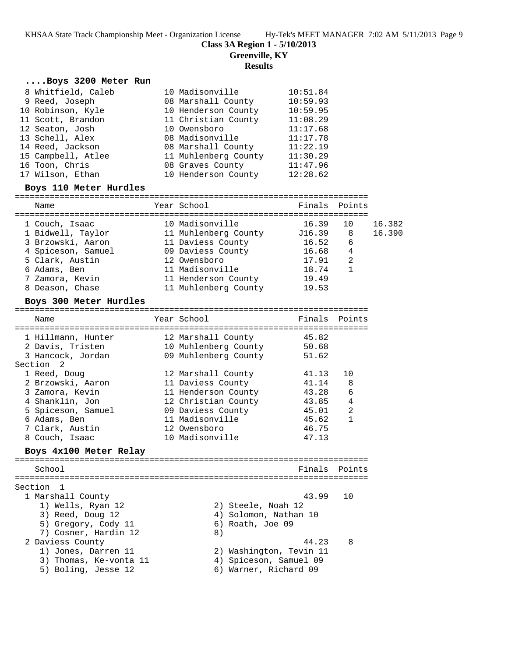**Class 3A Region 1 - 5/10/2013**

**Greenville, KY**

## **Results**

#### **....Boys 3200 Meter Run**

| 8 Whitfield, Caleb | 10 Madisonville      | 10:51.84 |
|--------------------|----------------------|----------|
| 9 Reed, Joseph     | 08 Marshall County   | 10:59.93 |
| 10 Robinson, Kyle  | 10 Henderson County  | 10:59.95 |
| 11 Scott, Brandon  | 11 Christian County  | 11:08.29 |
| 12 Seaton, Josh    | 10 Owensboro         | 11:17.68 |
| 13 Schell, Alex    | 08 Madisonville      | 11:17.78 |
| 14 Reed, Jackson   | 08 Marshall County   | 11:22.19 |
| 15 Campbell, Atlee | 11 Muhlenberg County | 11:30.29 |
| 16 Toon, Chris     | 08 Graves County     | 11:47.96 |
| 17 Wilson, Ethan   | 10 Henderson County  | 12:28.62 |

#### **Boys 110 Meter Hurdles**

| ____ |      |  |
|------|------|--|
| N⊇m  | $ -$ |  |

| wallle             | TCAT DUILUUI         | r tiidto | PULLLO |        |
|--------------------|----------------------|----------|--------|--------|
| 1 Couch, Isaac     | 10 Madisonville      | 16.39    | 10     | 16.382 |
| 1 Bidwell, Taylor  | 11 Muhlenberg County | J16.39   | - 8    | 16.390 |
| 3 Brzowski, Aaron  | 11 Daviess County    | 16.52    | 6      |        |
| 4 Spiceson, Samuel | 09 Daviess County    | 16.68    | 4      |        |
| 5 Clark, Austin    | 12 Owensboro         | 17.91    | 2      |        |
| 6 Adams, Ben       | 11 Madisonville      | 18.74    | 1      |        |
| 7 Zamora, Kevin    | 11 Henderson County  | 19.49    |        |        |
| 8 Deason, Chase    | 11 Muhlenberg County | 19.53    |        |        |

#### **Boys 300 Meter Hurdles**

| Name                                                                     | Year School                                                                           | Finals Points                    |                    |
|--------------------------------------------------------------------------|---------------------------------------------------------------------------------------|----------------------------------|--------------------|
| 1 Hillmann, Hunter<br>2 Davis, Tristen<br>3 Hancock, Jordan<br>Section 2 | 12 Marshall County<br>10 Muhlenberg County<br>09 Muhlenberg County                    | 45.82<br>50.68<br>51.62          |                    |
| 1 Reed, Doug<br>2 Brzowski, Aaron<br>3 Zamora, Kevin<br>4 Shanklin, Jon  | 12 Marshall County<br>11 Daviess County<br>11 Henderson County<br>12 Christian County | 41.13<br>41.14<br>43.28<br>43.85 | 1 O<br>8<br>6<br>4 |
| 5 Spiceson, Samuel<br>6 Adams, Ben<br>7 Clark, Austin<br>8 Couch, Isaac  | 09 Daviess County<br>11 Madisonville<br>12 Owensboro<br>10 Madisonville               | 45.01<br>45.62<br>46.75<br>47.13 | $\mathfrak{D}$     |
|                                                                          |                                                                                       |                                  |                    |

#### **Boys 4x100 Meter Relay**

======================================================================= Finals Points ======================================================================= Section 1<br>1 Marshall County 1 Marshall County 43.99 10 1) Wells, Ryan 12 2) Steele, Noah 12 3) Reed, Doug 12 4) Solomon, Nathan 10 5) Gregory, Cody 11 6) Roath, Joe 09 7) Cosner, Hardin 12 (8) 2 Daviess County 44.23 8 1) Jones, Darren 11 2) Washington, Tevin 11 3) Thomas, Ke-vonta 11 4) Spiceson, Samuel 09 5) Boling, Jesse 12 6) Warner, Richard 09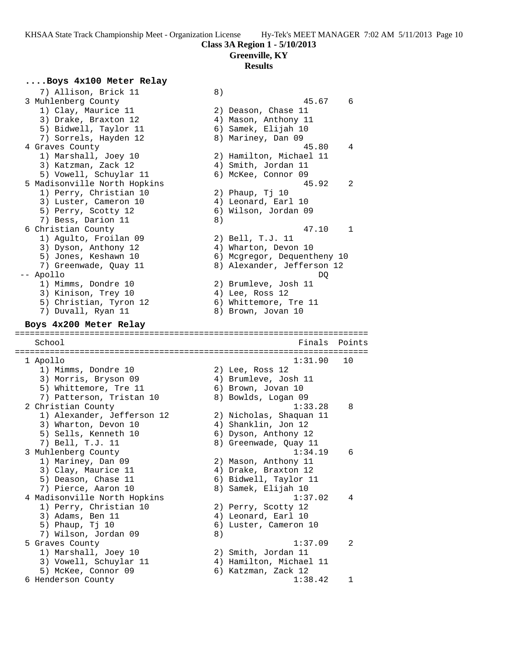## **Class 3A Region 1 - 5/10/2013**

## **Greenville, KY**

#### **Results**

## **....Boys 4x100 Meter Relay**

7) Allison, Brick 11 <sup>7</sup> (8)<br>3 Muhlenberg County 3 Muhlenberg County 45.67 6 1) Clay, Maurice 11 2) Deason, Chase 11 3) Drake, Braxton 12 (4) Mason, Anthony 11 5) Bidwell, Taylor 11 (6) Samek, Elijah 10 7) Sorrels, Hayden 12 8) Mariney, Dan 09 4 Graves County 45.80 4 1) Marshall, Joey 10 2) Hamilton, Michael 11 3) Katzman, Zack 12 4) Smith, Jordan 11 5) Vowell, Schuylar 11 6) McKee, Connor 09 5 Madisonville North Hopkins 45.92 2 1) Perry, Christian 10 2) Phaup, Tj 10 3) Luster, Cameron 10 (4) Leonard, Earl 10 5) Perry, Scotty 12 (6) Wilson, Jordan 09 7) Bess, Darion 11 8) 6 Christian County 47.10 1 1) Agulto, Froilan 09 2) Bell, T.J. 11 3) Dyson, Anthony 12 (4) Wharton, Devon 10 5) Jones, Keshawn 10 6) Mcgregor, Dequentheny 10 7) Greenwade, Quay 11 8) Alexander, Jefferson 12 -- Apollo DQ 1) Mimms, Dondre 10 2) Brumleve, Josh 11 3) Kinison, Trey 10 (4) Lee, Ross 12 5) Christian, Tyron 12 6) Whittemore, Tre 11 7) Duvall, Ryan 11 8) Brown, Jovan 10 **Boys 4x200 Meter Relay** ======================================================================= School **Finals** Points ======================================================================= 1 Apollo 1:31.90 10 1) Mimms, Dondre 10 (2) Lee, Ross 12 3) Morris, Bryson 09 (4) Brumleve, Josh 11 5) Whittemore, Tre 11 6) Brown, Jovan 10 7) Patterson, Tristan 10 and 8) Bowlds, Logan 09 2 Christian County 1:33.28 8 1) Alexander, Jefferson 12 2) Nicholas, Shaquan 11 3) Wharton, Devon 10 (4) Shanklin, Jon 12 5) Sells, Kenneth 10  $\qquad \qquad$  6) Dyson, Anthony 12 7) Bell, T.J. 11 8) Greenwade, Quay 11 3 Muhlenberg County 1:34.19 6 1) Mariney, Dan 09 2) Mason, Anthony 11 3) Clay, Maurice 11 (4) Drake, Braxton 12 5) Deason, Chase 11 6) Bidwell, Taylor 11 7) Pierce, Aaron 10  $\qquad \qquad 8)$  Samek, Elijah 10 4 Madisonville North Hopkins 1:37.02 4 1) Perry, Christian 10 2) Perry, Scotty 12 3) Adams, Ben 11 (4) Leonard, Earl 10 5) Phaup, Tj 10 6) Luster, Cameron 10 7) Wilson, Jordan 09 8) 5 Graves County 1:37.09 2 1) Marshall, Joey 10 2) Smith, Jordan 11 3) Vowell, Schuylar 11 4) Hamilton, Michael 11 5) McKee, Connor 09 6) Katzman, Zack 12 6 Henderson County 1:38.42 1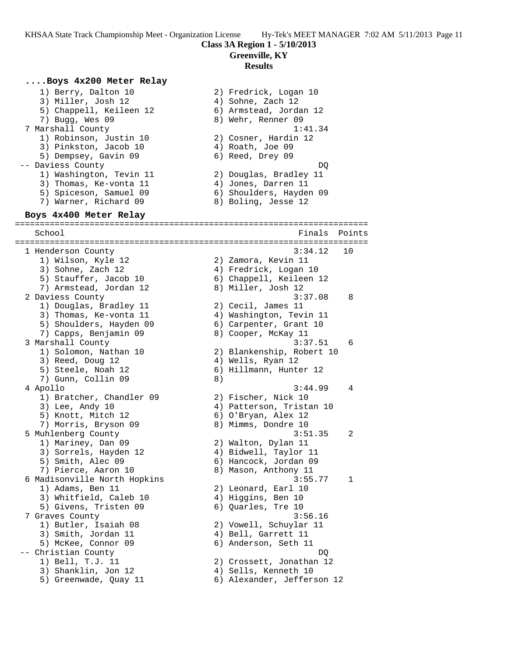**Class 3A Region 1 - 5/10/2013**

**Greenville, KY**

#### **Results**

## **....Boys 4x200 Meter Relay**

 1) Berry, Dalton 10 2) Fredrick, Logan 10 3) Miller, Josh 12 (4) Sohne, Zach 12 5) Chappell, Keileen 12 6) Armstead, Jordan 12 7) Bugg, Wes 09 8) Wehr, Renner 09

- 7 Marshall County 1:41.34
- 1) Robinson, Justin 10  $\hspace{1.6cm}$  2) Cosner, Hardin 12
- 3) Pinkston, Jacob 10 (4) Roath, Joe 09 5) Dempsey, Gavin 09 6) Reed, Drey 09
	-
- -- Daviess County DQ
- 1) Washington, Tevin 11 2) Douglas, Bradley 11
- 3) Thomas, Ke-vonta 11 (4) Jones, Darren 11
- 5) Spiceson, Samuel 09 6) Shoulders, Hayden 09 7) Warner, Richard 09 8) Boling, Jesse 12

**Boys 4x400 Meter Relay** ======================================================================= School **Finals** Points ======================================================================= 1 Henderson County 3:34.12 10 1) Wilson, Kyle 12 2) Zamora, Kevin 11 3) Sohne, Zach 12 4) Fredrick, Logan 10 5) Stauffer, Jacob 10 6) Chappell, Keileen 12 7) Armstead, Jordan 12 and 8) Miller, Josh 12 2 Daviess County 3:37.08 8 1) Douglas, Bradley 11 2) Cecil, James 11 3) Thomas, Ke-vonta 11 4) Washington, Tevin 11 5) Shoulders, Hayden 09 6) Carpenter, Grant 10 7) Capps, Benjamin 09 8) Cooper, McKay 11 3 Marshall County 3:37.51 6 1) Solomon, Nathan 10 2) Blankenship, Robert 10 3) Reed, Doug 12 (a) 4) Wells, Ryan 12 5) Steele, Noah 12 6) Hillmann, Hunter 12 7) Gunn, Collin 09 8) 4 Apollo 3:44.99 4 1) Bratcher, Chandler 09 2) Fischer, Nick 10 3) Lee, Andy 10 4) Patterson, Tristan 10 5) Knott, Mitch 12 6) O'Bryan, Alex 12 7) Morris, Bryson 09 8) Mimms, Dondre 10 5 Muhlenberg County 3:51.35 2 1) Mariney, Dan 09 2) Walton, Dylan 11 3) Sorrels, Hayden 12 4) Bidwell, Taylor 11 5) Smith, Alec 09 6) Hancock, Jordan 09 7) Pierce, Aaron 10 8) Mason, Anthony 11 6 Madisonville North Hopkins 3:55.77 1 1) Adams, Ben 11 2) Leonard, Earl 10 3) Whitfield, Caleb 10 4) Higgins, Ben 10 5) Givens, Tristen 09 (6) Quarles, Tre 10 7 Graves County 3:56.16 1) Butler, Isaiah 08 2) Vowell, Schuylar 11 3) Smith, Jordan 11 4) Bell, Garrett 11 5) McKee, Connor 09 6) Anderson, Seth 11 -- Christian County DQ 1) Bell, T.J. 11 2) Crossett, Jonathan 12 3) Shanklin, Jon 12 (4) Sells, Kenneth 10 5) Greenwade, Quay 11 6) Alexander, Jefferson 12